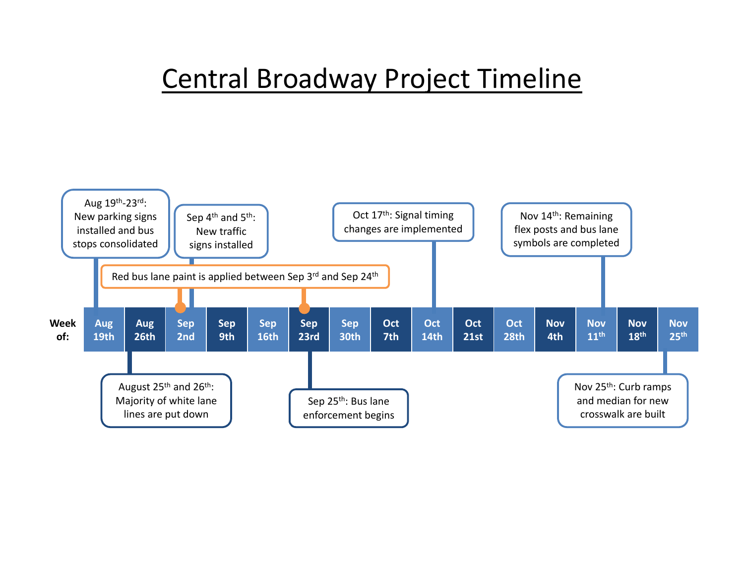#### Central Broadway Project Timeline

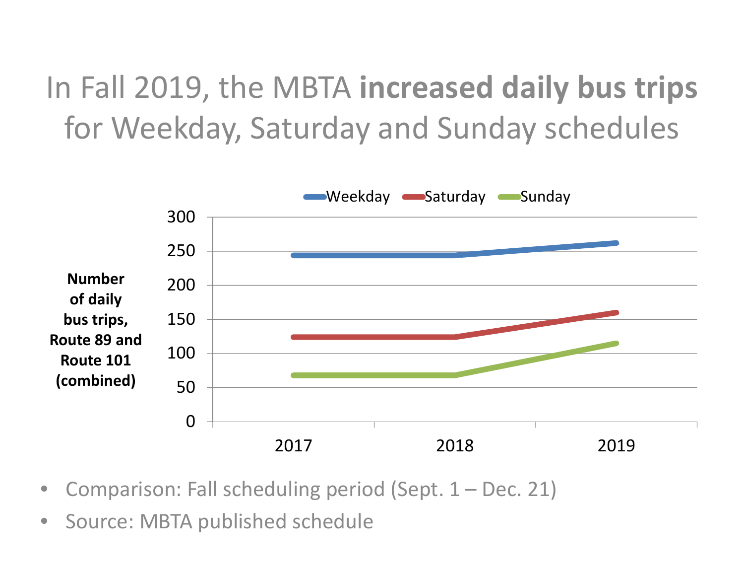## In Fall 2019, the MBTA **increased daily bus trips** for Weekday, Saturday and Sunday schedules



- •Comparison: Fall scheduling period (Sept. 1 – Dec. 21)
- $\bullet$ **•** Source: MBTA published schedule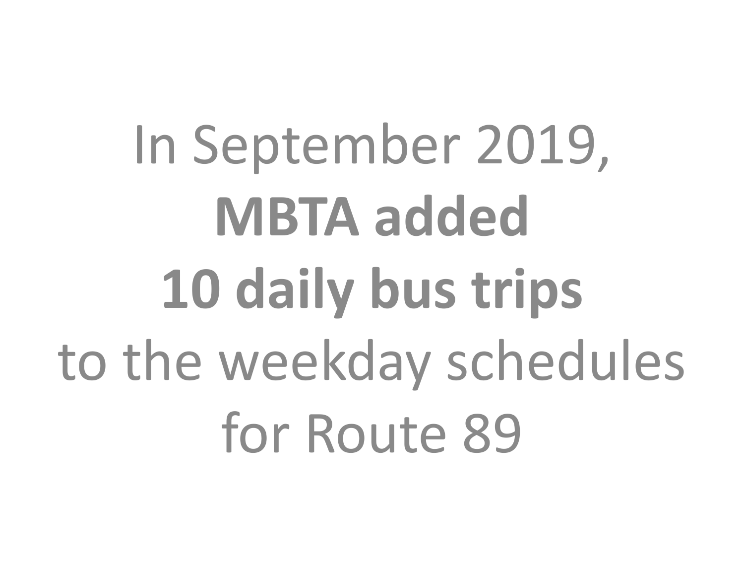In September 2019, **MBTA added 10 daily bus trips** to the weekday schedules for Route 89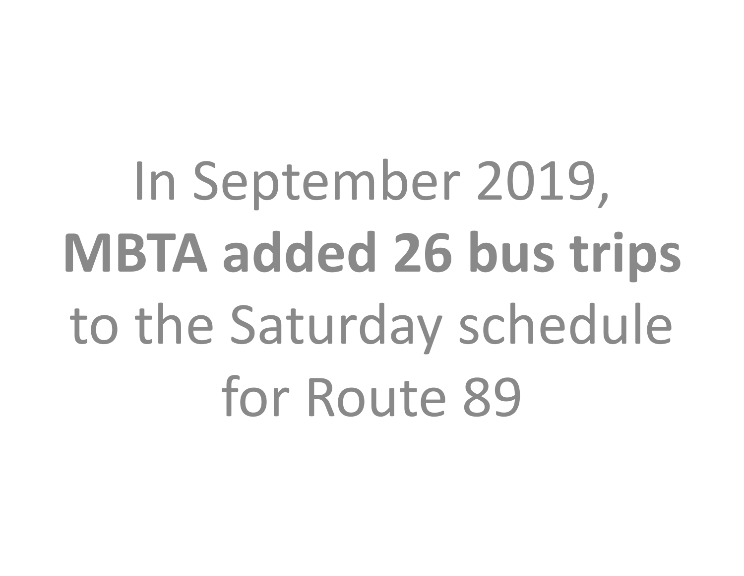In September 2019, **MBTA added 26 bus trips** to the Saturday schedule for Route 89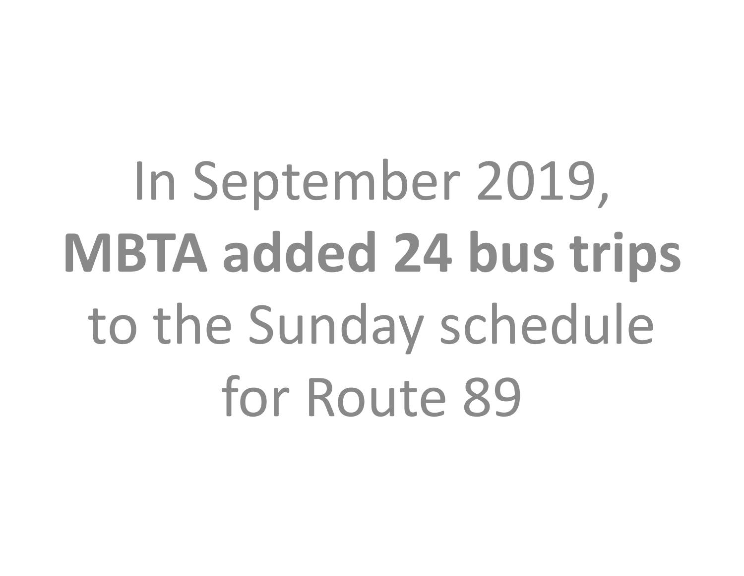In September 2019, **MBTA added 24 bus trips** to the Sunday schedule for Route 89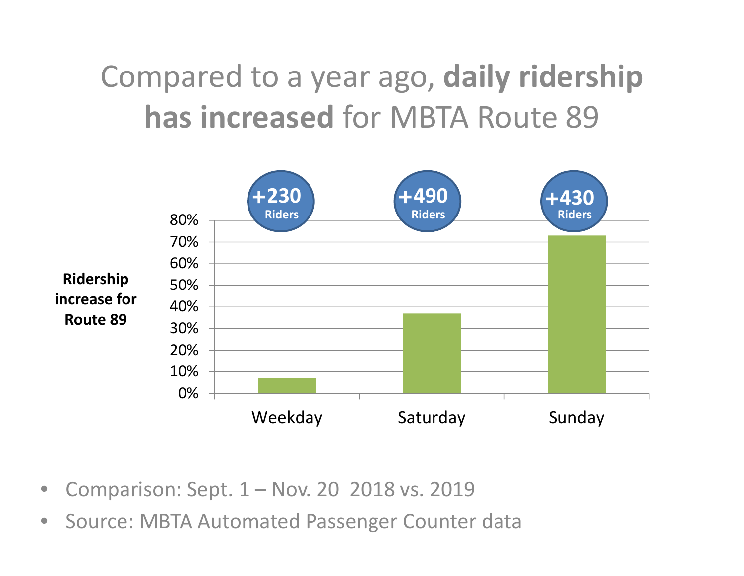## Compared to <sup>a</sup> year ago, **daily ridership has increased** for MBTA Route 89



- •Comparison: Sept. 1 – Nov. 20 2018 vs. 2019
- $\bullet$ **• Source: MBTA Automated Passenger Counter data**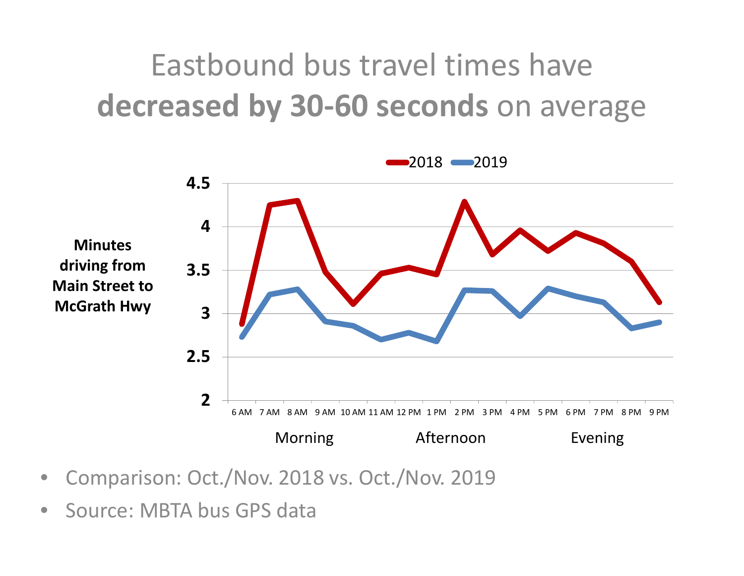### Eastbound bus travel times have **decreased by 30‐60 seconds** on average



- $\bullet$ Comparison: Oct./Nov. 2018 vs. Oct./Nov. 2019
- $\bullet$ • Source: MBTA bus GPS data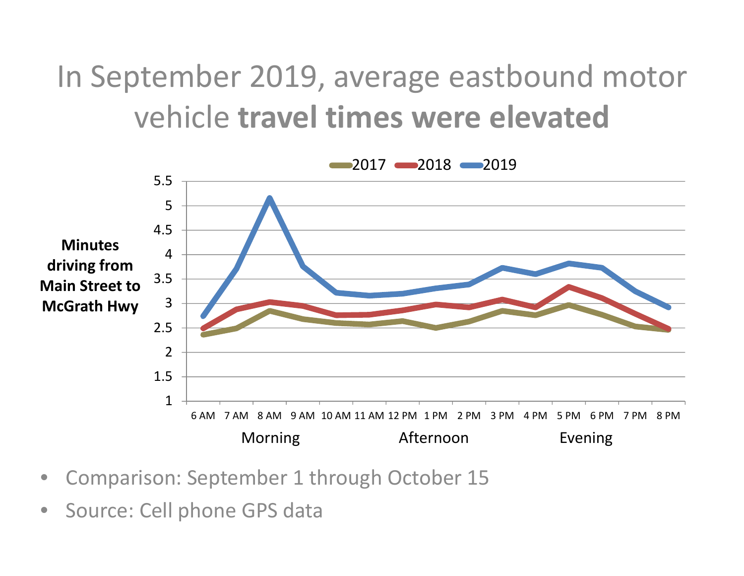In September 2019, average eastbound motor vehicle **travel times were elevated**



- •Comparison: September 1 through October 15
- •Source: Cell phone GPS data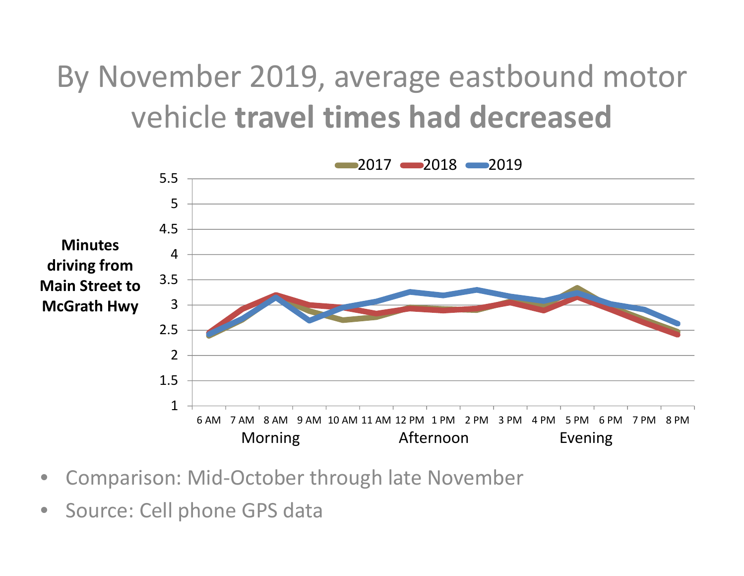### By November 2019, average eastbound motor vehicle **travel times had decreased**



- •Comparison: Mid‐October through late November
- •Source: Cell phone GPS data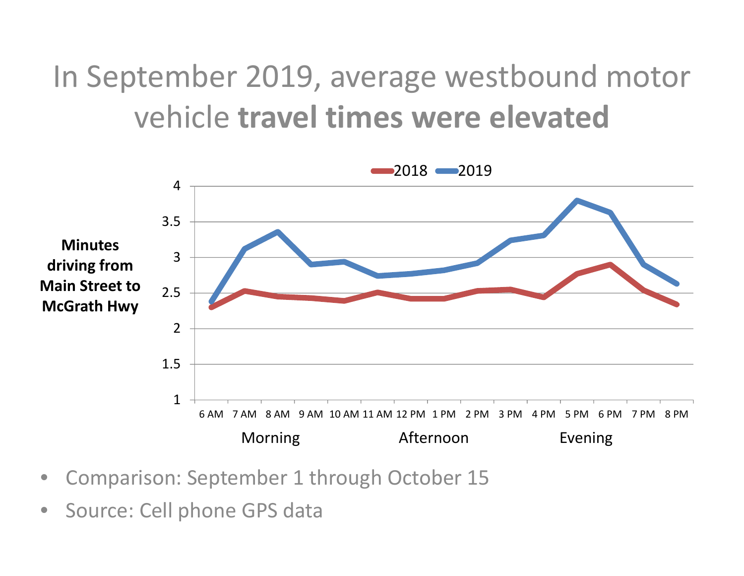#### In September 2019, average westbound motor vehicle **travel times were elevated**



- •Comparison: September 1 through October 15
- •Source: Cell phone GPS data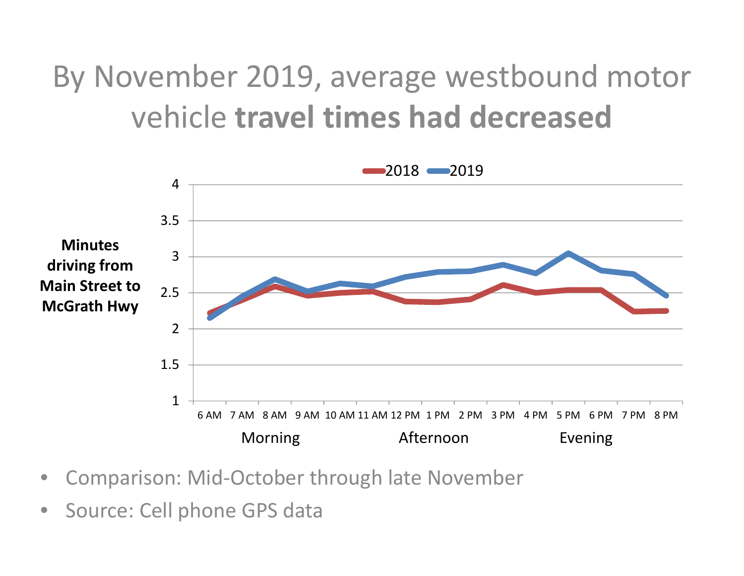## By November 2019, average westbound motor vehicle **travel times had decreased**



- •Comparison: Mid‐October through late November
- •Source: Cell phone GPS data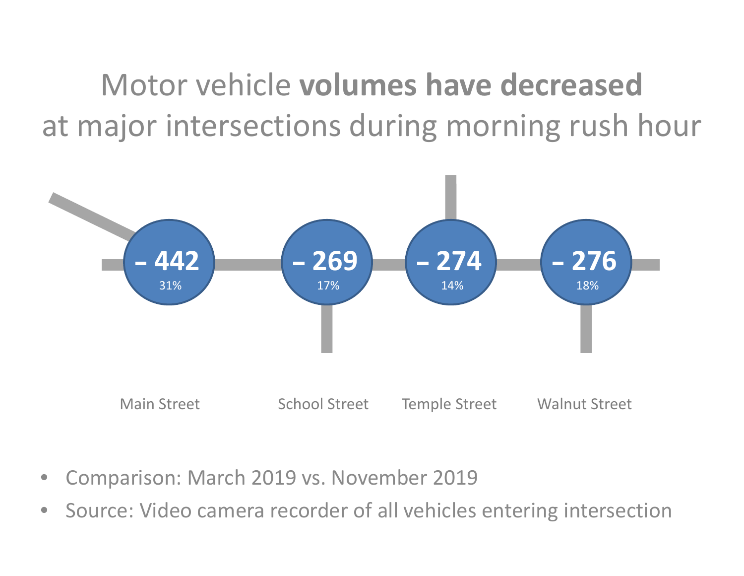Motor vehicle **volumes have decreased**at major intersections during morning rush hour



- •Comparison: March 2019 vs. November 2019
- •**•** Source: Video camera recorder of all vehicles entering intersection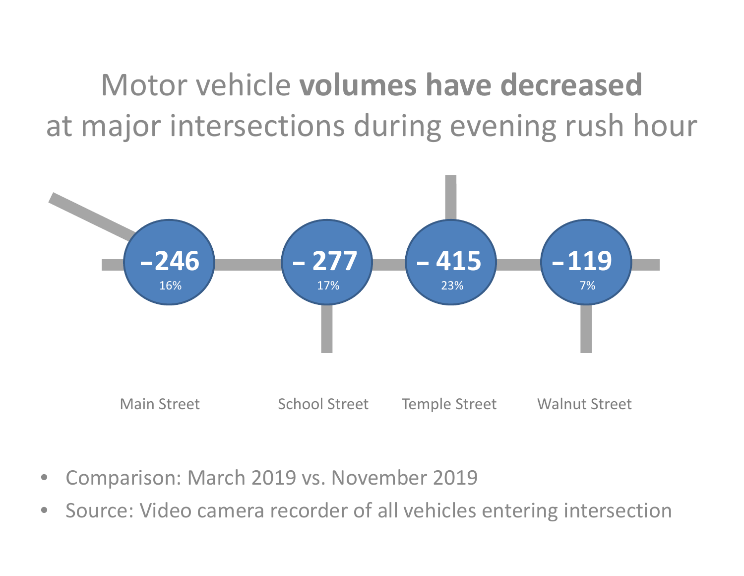Motor vehicle **volumes have decreased**at major intersections during evening rush hour



- •Comparison: March 2019 vs. November 2019
- •**•** Source: Video camera recorder of all vehicles entering intersection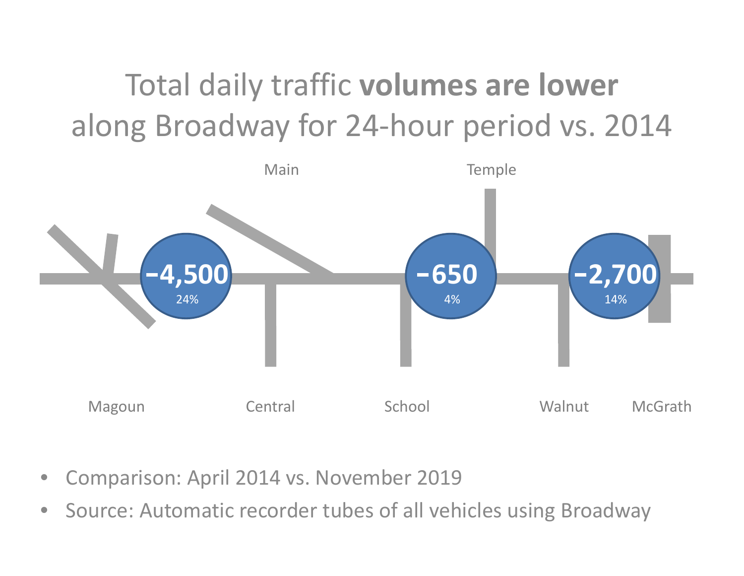## Total daily traffic **volumes are lower** along Broadway for 24 ‐hour period vs. 2014



- •Comparison: April 2014 vs. November 2019
- •**•** Source: Automatic recorder tubes of all vehicles using Broadway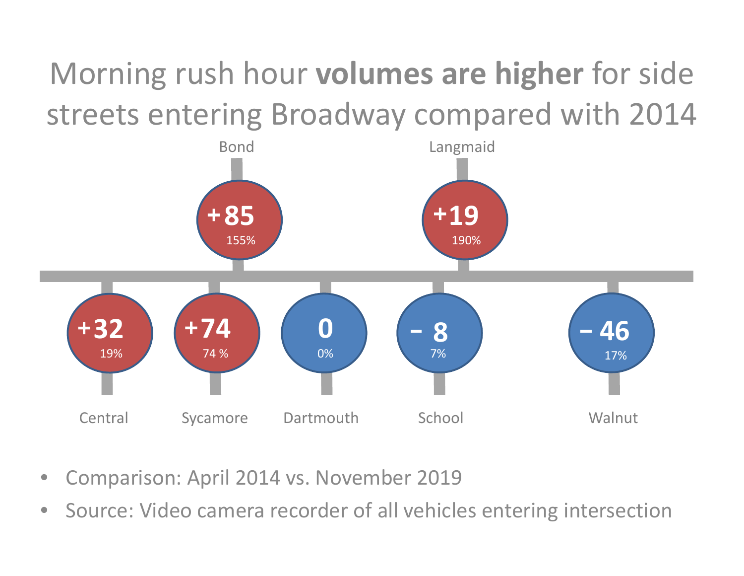## Morning rush hour **volumes are higher** for side streets entering Broadway compared with 2014



- •Comparison: April 2014 vs. November 2019
- •**•** Source: Video camera recorder of all vehicles entering intersection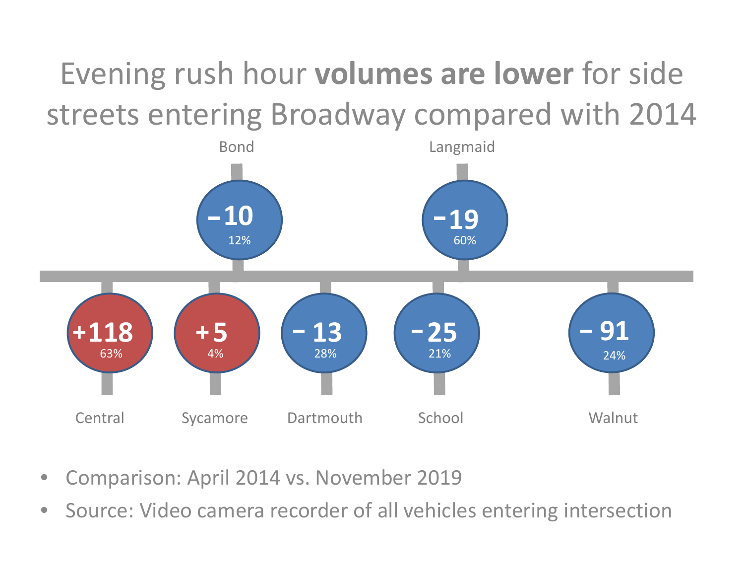## Evening rush hour **volumes are lower** for side streets entering Broadway compared with 2014



- •Comparison: April 2014 vs. November 2019
- •**•** Source: Video camera recorder of all vehicles entering intersection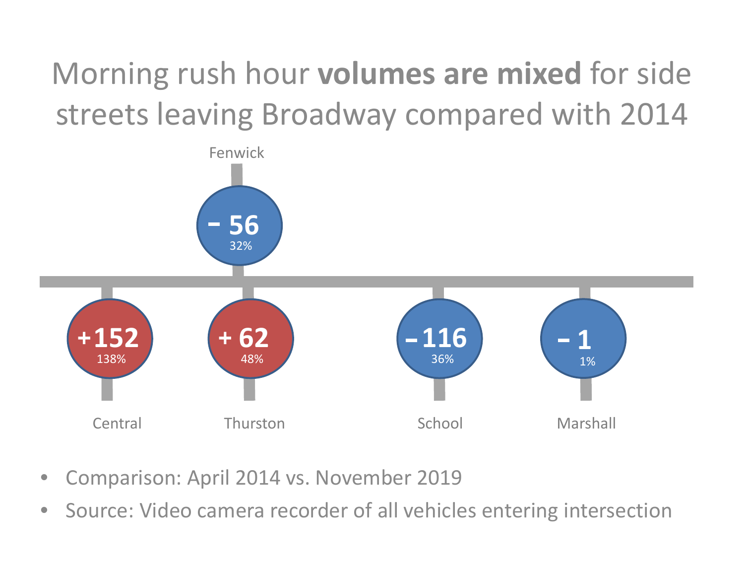## Morning rush hour **volumes are mixed** for side streets leaving Broadway compared with 2014



- •Comparison: April 2014 vs. November 2019
- •**•** Source: Video camera recorder of all vehicles entering intersection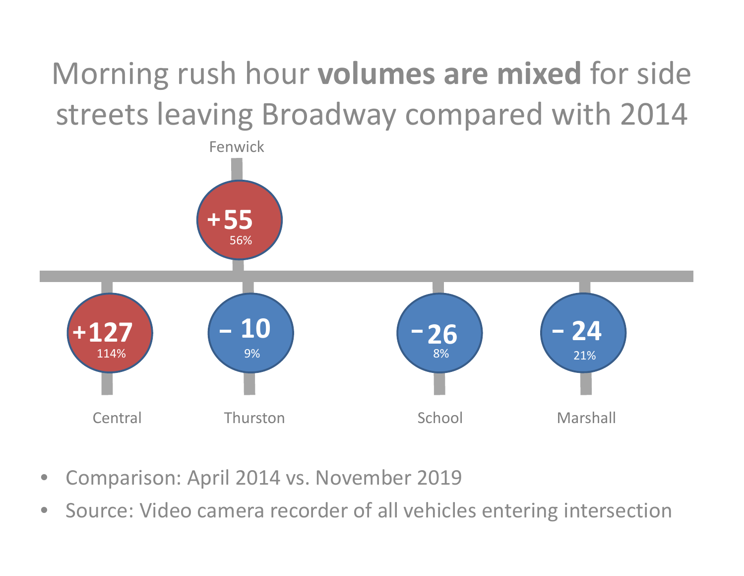# Morning rush hour **volumes are mixed** for side streets leaving Broadway compared with 2014



- •Comparison: April 2014 vs. November 2019
- •**•** Source: Video camera recorder of all vehicles entering intersection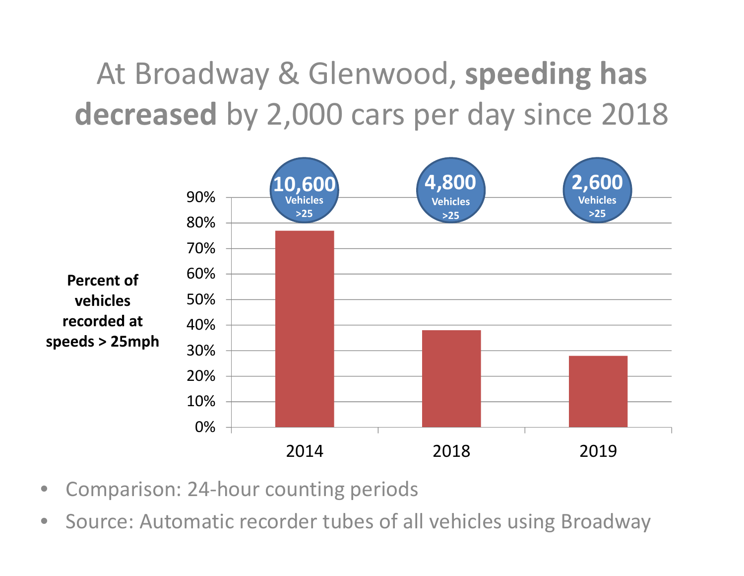At Broadway & Glenwood, **speeding has decreased** by 2,000 cars per day since 2018



- •Comparison: 24‐hour counting periods
- $\bullet$ **•** Source: Automatic recorder tubes of all vehicles using Broadway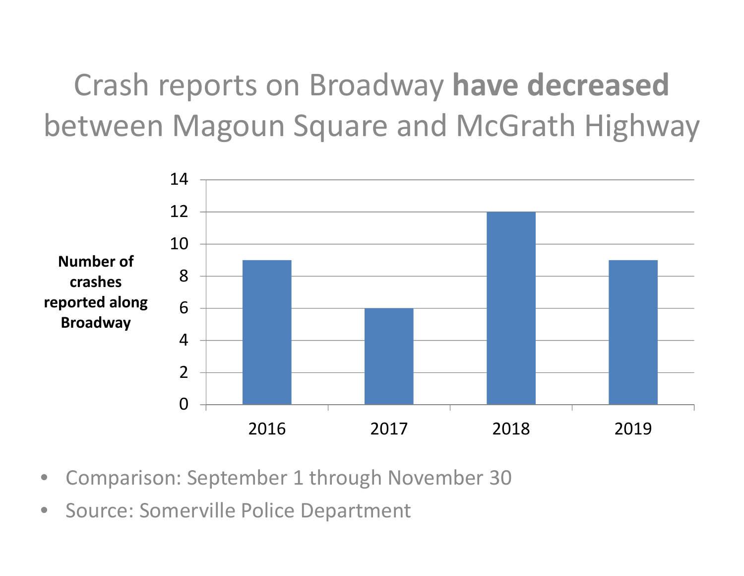Crash reports on Broadway **have decreased** between Magoun Square and McGrath Highway



- •Comparison: September 1 through November 30
- •**•** Source: Somerville Police Department